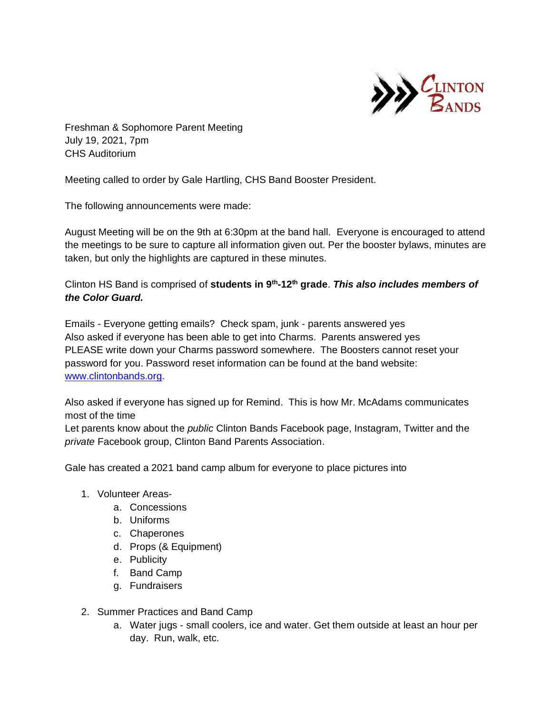

Freshman & Sophomore Parent Meeting July 19, 2021, 7pm CHS Auditorium

Meeting called to order by Gale Hartling, CHS Band Booster President.

The following announcements were made:

August Meeting will be on the 9th at 6:30pm at the band hall. Everyone is encouraged to attend the meetings to be sure to capture all information given out. Per the booster bylaws, minutes are taken, but only the highlights are captured in these minutes.

Clinton HS Band is comprised of **students in 9th -12th grade**. *This also includes members of the Color Guard.* 

Emails - Everyone getting emails? Check spam, junk - parents answered yes Also asked if everyone has been able to get into Charms. Parents answered yes PLEASE write down your Charms password somewhere. The Boosters cannot reset your password for you. Password reset information can be found at the band website: [www.clintonbands.org.](http://www.clintonbands.org/)

Also asked if everyone has signed up for Remind. This is how Mr. McAdams communicates most of the time

Let parents know about the *public* Clinton Bands Facebook page, Instagram, Twitter and the *private* Facebook group, Clinton Band Parents Association.

Gale has created a 2021 band camp album for everyone to place pictures into

- 1. Volunteer Areas
	- a. Concessions
	- b. Uniforms
	- c. Chaperones
	- d. Props (& Equipment)
	- e. Publicity
	- f. Band Camp
	- g. Fundraisers
- 2. Summer Practices and Band Camp
	- a. Water jugs small coolers, ice and water. Get them outside at least an hour per day. Run, walk, etc.